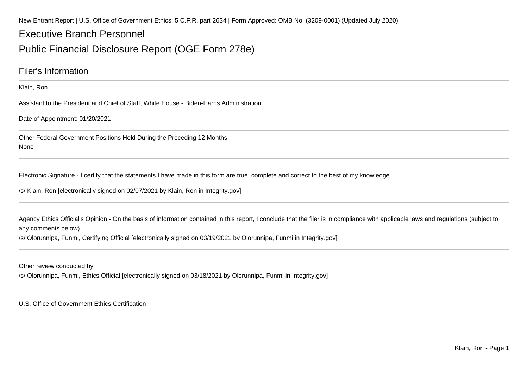New Entrant Report | U.S. Office of Government Ethics; 5 C.F.R. part 2634 | Form Approved: OMB No. (3209-0001) (Updated July 2020)

## Executive Branch Personnel

## Public Financial Disclosure Report (OGE Form 278e)

### Filer's Information

Klain, Ron

Assistant to the President and Chief of Staff, White House - Biden-Harris Administration

Date of Appointment: 01/20/2021

Other Federal Government Positions Held During the Preceding 12 Months:None

Electronic Signature - I certify that the statements I have made in this form are true, complete and correct to the best of my knowledge.

/s/ Klain, Ron [electronically signed on 02/07/2021 by Klain, Ron in Integrity.gov]

Agency Ethics Official's Opinion - On the basis of information contained in this report, I conclude that the filer is in compliance with applicable laws and regulations (subject to any comments below).

/s/ Olorunnipa, Funmi, Certifying Official [electronically signed on 03/19/2021 by Olorunnipa, Funmi in Integrity.gov]

Other review conducted by

/s/ Olorunnipa, Funmi, Ethics Official [electronically signed on 03/18/2021 by Olorunnipa, Funmi in Integrity.gov]

U.S. Office of Government Ethics Certification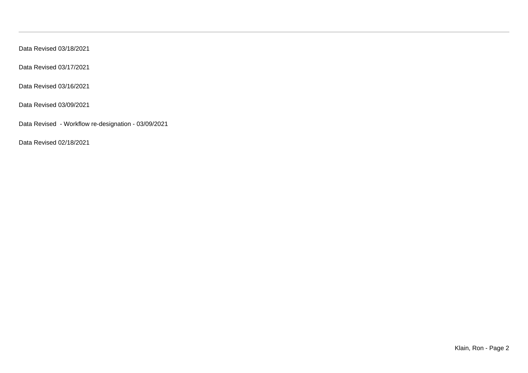Data Revised 03/18/2021

Data Revised 03/17/2021

Data Revised 03/16/2021

Data Revised 03/09/2021

Data Revised - Workflow re-designation - 03/09/2021

Data Revised 02/18/2021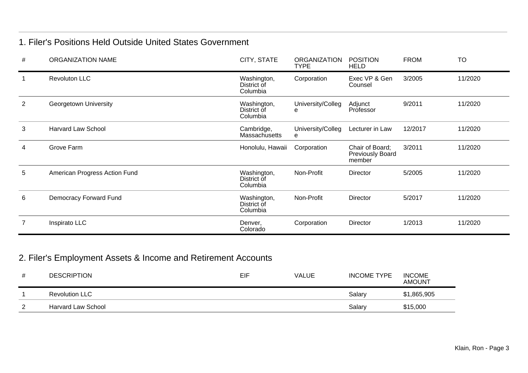### 1. Filer's Positions Held Outside United States Government

| #              | <b>ORGANIZATION NAME</b>      | CITY, STATE                            | <b>ORGANIZATION</b><br><b>TYPE</b> | <b>POSITION</b><br><b>HELD</b>                       | <b>FROM</b> | <b>TO</b> |
|----------------|-------------------------------|----------------------------------------|------------------------------------|------------------------------------------------------|-------------|-----------|
|                | <b>Revoluton LLC</b>          | Washington,<br>District of<br>Columbia | Corporation                        | Exec VP & Gen<br>Counsel                             | 3/2005      | 11/2020   |
| $\overline{2}$ | Georgetown University         | Washington,<br>District of<br>Columbia | University/Colleg<br>е             | Adjunct<br>Professor                                 | 9/2011      | 11/2020   |
| 3              | <b>Harvard Law School</b>     | Cambridge,<br>Massachusetts            | University/Colleg<br>е             | Lecturer in Law                                      | 12/2017     | 11/2020   |
| 4              | Grove Farm                    | Honolulu, Hawaii                       | Corporation                        | Chair of Board;<br><b>Previously Board</b><br>member | 3/2011      | 11/2020   |
| 5              | American Progress Action Fund | Washington,<br>District of<br>Columbia | Non-Profit                         | <b>Director</b>                                      | 5/2005      | 11/2020   |
| 6              | Democracy Forward Fund        | Washington,<br>District of<br>Columbia | Non-Profit                         | Director                                             | 5/2017      | 11/2020   |
| $\overline{7}$ | Inspirato LLC                 | Denver,<br>Colorado                    | Corporation                        | Director                                             | 1/2013      | 11/2020   |

## 2. Filer's Employment Assets & Income and Retirement Accounts

| # | <b>DESCRIPTION</b>    | EIF | <b>VALUE</b> | <b>INCOME TYPE</b> | <b>INCOME</b><br><b>AMOUNT</b> |
|---|-----------------------|-----|--------------|--------------------|--------------------------------|
|   | <b>Revolution LLC</b> |     |              | Salary             | \$1,865,905                    |
|   | Harvard Law School    |     |              | Salary             | \$15,000                       |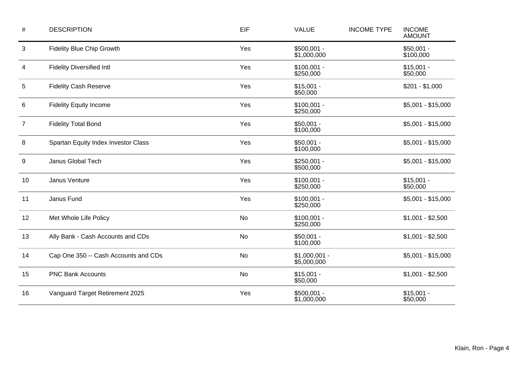| $\#$ | <b>DESCRIPTION</b>                   | EIF       | <b>VALUE</b>                  | <b>INCOME TYPE</b> | <b>INCOME</b><br><b>AMOUNT</b> |
|------|--------------------------------------|-----------|-------------------------------|--------------------|--------------------------------|
| 3    | <b>Fidelity Blue Chip Growth</b>     | Yes       | $$500,001 -$<br>\$1,000,000   |                    |                                |
| 4    | <b>Fidelity Diversified Intl</b>     | Yes       | $$100,001 -$<br>\$250,000     |                    | $$15,001 -$<br>\$50,000        |
| 5    | <b>Fidelity Cash Reserve</b>         | Yes       | $$15,001 -$<br>\$50,000       |                    | $$201 - $1,000$                |
| 6    | <b>Fidelity Equity Income</b>        | Yes       | $$100,001 -$<br>\$250,000     |                    | $$5,001 - $15,000$             |
| 7    | <b>Fidelity Total Bond</b>           | Yes       | $$50,001 -$<br>\$100,000      |                    | $$5,001 - $15,000$             |
| 8    | Spartan Equity Index Investor Class  | Yes       | $$50,001 -$<br>\$100,000      |                    | $$5,001 - $15,000$             |
| 9    | Janus Global Tech                    | Yes       | $$250,001 -$<br>\$500,000     |                    | $$5,001 - $15,000$             |
| 10   | Janus Venture                        | Yes       | $$100,001 -$<br>\$250,000     |                    | $$15,001 -$<br>\$50,000        |
| 11   | Janus Fund                           | Yes       | $$100,001 -$<br>\$250,000     |                    | $$5,001 - $15,000$             |
| 12   | Met Whole Life Policy                | No        | $$100,001 -$<br>\$250,000     |                    | $$1,001 - $2,500$              |
| 13   | Ally Bank - Cash Accounts and CDs    | No        | $$50,001 -$<br>\$100,000      |                    | $$1,001 - $2,500$              |
| 14   | Cap One 350 -- Cash Accounts and CDs | <b>No</b> | $$1,000,001 -$<br>\$5,000,000 |                    | \$5,001 - \$15,000             |
| 15   | <b>PNC Bank Accounts</b>             | No        | $$15,001 -$<br>\$50,000       |                    | $$1,001 - $2,500$              |
| 16   | Vanguard Target Retirement 2025      | Yes       | $$500,001 -$<br>\$1,000,000   |                    | $$15,001 -$<br>\$50,000        |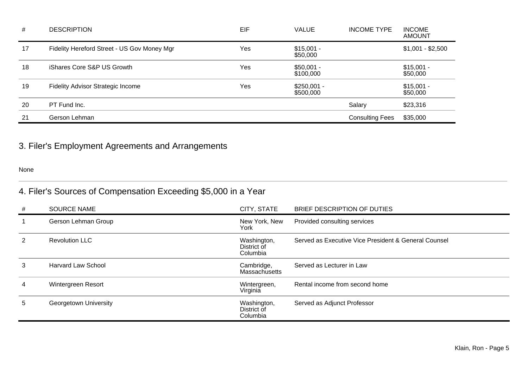| #  | <b>DESCRIPTION</b>                          | EIF | <b>VALUE</b>              | <b>INCOME TYPE</b>     | <b>INCOME</b><br><b>AMOUNT</b> |
|----|---------------------------------------------|-----|---------------------------|------------------------|--------------------------------|
| 17 | Fidelity Hereford Street - US Gov Money Mgr | Yes | $$15,001 -$<br>\$50,000   |                        | $$1,001 - $2,500$              |
| 18 | iShares Core S&P US Growth                  | Yes | $$50,001 -$<br>\$100,000  |                        | $$15,001 -$<br>\$50,000        |
| 19 | Fidelity Advisor Strategic Income           | Yes | $$250,001 -$<br>\$500,000 |                        | $$15,001 -$<br>\$50,000        |
| 20 | PT Fund Inc.                                |     |                           | Salary                 | \$23,316                       |
| 21 | Gerson Lehman                               |     |                           | <b>Consulting Fees</b> | \$35,000                       |

## 3. Filer's Employment Agreements and Arrangements

None

## 4. Filer's Sources of Compensation Exceeding \$5,000 in a Year

| #  | <b>SOURCE NAME</b>        | CITY, STATE                            | BRIEF DESCRIPTION OF DUTIES                          |
|----|---------------------------|----------------------------------------|------------------------------------------------------|
|    | Gerson Lehman Group       | New York, New<br>York                  | Provided consulting services                         |
| 2  | <b>Revolution LLC</b>     | Washington,<br>District of<br>Columbia | Served as Executive Vice President & General Counsel |
| 3  | <b>Harvard Law School</b> | Cambridge,<br><b>Massachusetts</b>     | Served as Lecturer in Law                            |
| 4  | Wintergreen Resort        | Wintergreen,<br>Virginia               | Rental income from second home                       |
| 5. | Georgetown University     | Washington,<br>District of<br>Columbia | Served as Adjunct Professor                          |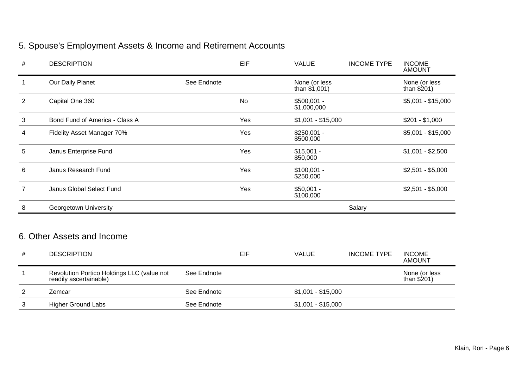# 5. Spouse's Employment Assets & Income and Retirement Accounts

| #              | <b>DESCRIPTION</b>             |             | EIF       | <b>VALUE</b>                    | <b>INCOME TYPE</b> | <b>INCOME</b><br><b>AMOUNT</b> |
|----------------|--------------------------------|-------------|-----------|---------------------------------|--------------------|--------------------------------|
|                | Our Daily Planet               | See Endnote |           | None (or less<br>than $$1,001)$ |                    | None (or less<br>than $$201)$  |
| $\overline{2}$ | Capital One 360                |             | <b>No</b> | $$500,001 -$<br>\$1,000,000     |                    | $$5,001 - $15,000$             |
| 3              | Bond Fund of America - Class A |             | Yes       | $$1,001 - $15,000$              |                    | $$201 - $1,000$                |
| 4              | Fidelity Asset Manager 70%     |             | Yes       | $$250,001 -$<br>\$500,000       |                    | $$5,001 - $15,000$             |
| 5              | Janus Enterprise Fund          |             | Yes       | $$15,001 -$<br>\$50,000         |                    | $$1,001 - $2,500$              |
| 6              | Janus Research Fund            |             | Yes       | $$100,001 -$<br>\$250,000       |                    | $$2,501 - $5,000$              |
| $\overline{7}$ | Janus Global Select Fund       |             | Yes       | $$50,001 -$<br>\$100,000        |                    | $$2,501 - $5,000$              |
| 8              | Georgetown University          |             |           |                                 | Salary             |                                |
|                |                                |             |           |                                 |                    |                                |

## 6. Other Assets and Income

| # | <b>DESCRIPTION</b>                                                   |             | EIF | <b>VALUE</b>       | <b>INCOME TYPE</b> | <b>INCOME</b><br><b>AMOUNT</b> |
|---|----------------------------------------------------------------------|-------------|-----|--------------------|--------------------|--------------------------------|
|   | Revolution Portico Holdings LLC (value not<br>readily ascertainable) | See Endnote |     |                    |                    | None (or less<br>than $$201$ ) |
|   | Zemcar                                                               | See Endnote |     | $$1,001 - $15,000$ |                    |                                |
|   | <b>Higher Ground Labs</b>                                            | See Endnote |     | $$1,001 - $15,000$ |                    |                                |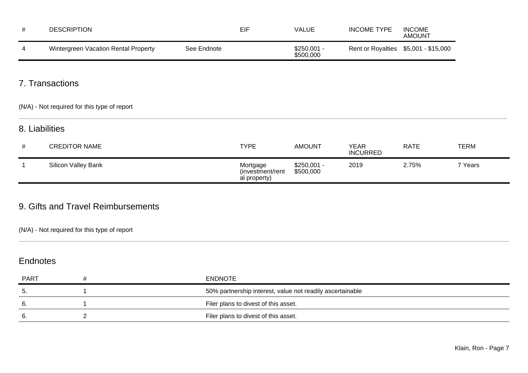| #           | <b>DESCRIPTION</b>                           |             | <b>EIF</b>                                   | <b>VALUE</b>              | <b>INCOME TYPE</b>             | <b>INCOME</b><br><b>AMOUNT</b> |             |
|-------------|----------------------------------------------|-------------|----------------------------------------------|---------------------------|--------------------------------|--------------------------------|-------------|
| 4           | Wintergreen Vacation Rental Property         | See Endnote |                                              | $$250,001 -$<br>\$500,000 | <b>Rent or Royalties</b>       | \$5,001 - \$15,000             |             |
|             | 7. Transactions                              |             |                                              |                           |                                |                                |             |
|             | (N/A) - Not required for this type of report |             |                                              |                           |                                |                                |             |
|             | 8. Liabilities                               |             |                                              |                           |                                |                                |             |
| #           | <b>CREDITOR NAME</b>                         |             | <b>TYPE</b>                                  | <b>AMOUNT</b>             | <b>YEAR</b><br><b>INCURRED</b> | <b>RATE</b>                    | <b>TERM</b> |
| $\mathbf 1$ | Silicon Valley Bank                          |             | Mortgage<br>(investment/rent<br>al property) | $$250,001 -$<br>\$500,000 | 2019                           | 2.75%                          | 7 Years     |

### 9. Gifts and Travel Reimbursements

(N/A) - Not required for this type of report

### Endnotes

| <b>PART</b> | ENDNOTE                                                   |
|-------------|-----------------------------------------------------------|
| 5.          | 50% partnership interest, value not readily ascertainable |
|             | Filer plans to divest of this asset.                      |
| 6.          | Filer plans to divest of this asset.                      |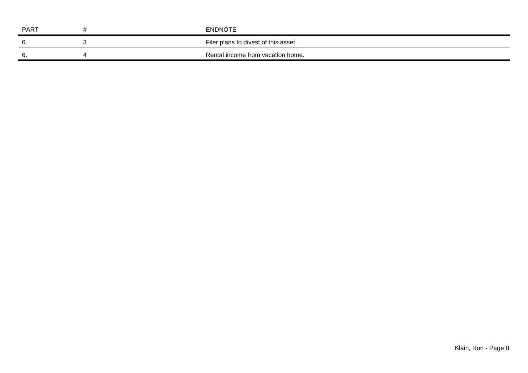| PART | <b>ENDNOTE</b>                       |
|------|--------------------------------------|
| ხ.   | Filer plans to divest of this asset. |
| ხ.   | Rental income from vacation home.    |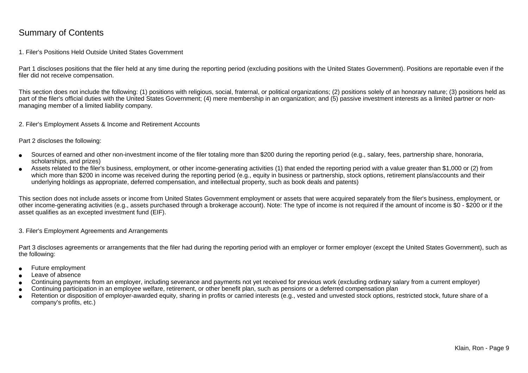### Summary of Contents

#### 1. Filer's Positions Held Outside United States Government

Part 1 discloses positions that the filer held at any time during the reporting period (excluding positions with the United States Government). Positions are reportable even if the filer did not receive compensation.

This section does not include the following: (1) positions with religious, social, fraternal, or political organizations; (2) positions solely of an honorary nature; (3) positions held aspart of the filer's official duties with the United States Government; (4) mere membership in an organization; and (5) passive investment interests as a limited partner or nonmanaging member of a limited liability company.

2. Filer's Employment Assets & Income and Retirement Accounts

Part 2 discloses the following:

- ●Sources of earned and other non-investment income of the filer totaling more than \$200 during the reporting period (e.g., salary, fees, partnership share, honoraria,scholarships, and prizes)
- ● Assets related to the filer's business, employment, or other income-generating activities (1) that ended the reporting period with a value greater than \$1,000 or (2) fromwhich more than \$200 in income was received during the reporting period (e.g., equity in business or partnership, stock options, retirement plans/accounts and their underlying holdings as appropriate, deferred compensation, and intellectual property, such as book deals and patents)

This section does not include assets or income from United States Government employment or assets that were acquired separately from the filer's business, employment, or other income-generating activities (e.g., assets purchased through a brokerage account). Note: The type of income is not required if the amount of income is \$0 - \$200 or if theasset qualifies as an excepted investment fund (EIF).

3. Filer's Employment Agreements and Arrangements

Part 3 discloses agreements or arrangements that the filer had during the reporting period with an employer or former employer (except the United States Government), such as the following:

- ●Future employment
- ●Leave of absence
- ●Continuing payments from an employer, including severance and payments not yet received for previous work (excluding ordinary salary from a current employer)
- ●Continuing participation in an employee welfare, retirement, or other benefit plan, such as pensions or a deferred compensation plan
- ● Retention or disposition of employer-awarded equity, sharing in profits or carried interests (e.g., vested and unvested stock options, restricted stock, future share of acompany's profits, etc.)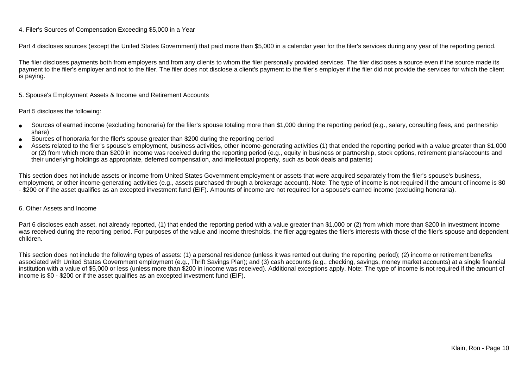#### 4. Filer's Sources of Compensation Exceeding \$5,000 in a Year

Part 4 discloses sources (except the United States Government) that paid more than \$5,000 in a calendar year for the filer's services during any year of the reporting period.

The filer discloses payments both from employers and from any clients to whom the filer personally provided services. The filer discloses a source even if the source made itspayment to the filer's employer and not to the filer. The filer does not disclose a client's payment to the filer's employer if the filer did not provide the services for which the client is paying.

5. Spouse's Employment Assets & Income and Retirement Accounts

#### Part 5 discloses the following:

- ●Sources of earned income (excluding honoraria) for the filer's spouse totaling more than \$1,000 during the reporting period (e.g., salary, consulting fees, and partnershipshare)
- ●Sources of honoraria for the filer's spouse greater than \$200 during the reporting period
- ● Assets related to the filer's spouse's employment, business activities, other income-generating activities (1) that ended the reporting period with a value greater than \$1,000or (2) from which more than \$200 in income was received during the reporting period (e.g., equity in business or partnership, stock options, retirement plans/accounts and their underlying holdings as appropriate, deferred compensation, and intellectual property, such as book deals and patents)

This section does not include assets or income from United States Government employment or assets that were acquired separately from the filer's spouse's business,employment, or other income-generating activities (e.g., assets purchased through a brokerage account). Note: The type of income is not required if the amount of income is \$0 - \$200 or if the asset qualifies as an excepted investment fund (EIF). Amounts of income are not required for a spouse's earned income (excluding honoraria).

#### 6. Other Assets and Income

Part 6 discloses each asset, not already reported, (1) that ended the reporting period with a value greater than \$1,000 or (2) from which more than \$200 in investment income was received during the reporting period. For purposes of the value and income thresholds, the filer aggregates the filer's interests with those of the filer's spouse and dependentchildren.

This section does not include the following types of assets: (1) a personal residence (unless it was rented out during the reporting period); (2) income or retirement benefits associated with United States Government employment (e.g., Thrift Savings Plan); and (3) cash accounts (e.g., checking, savings, money market accounts) at a single financial institution with a value of \$5,000 or less (unless more than \$200 in income was received). Additional exceptions apply. Note: The type of income is not required if the amount ofincome is \$0 - \$200 or if the asset qualifies as an excepted investment fund (EIF).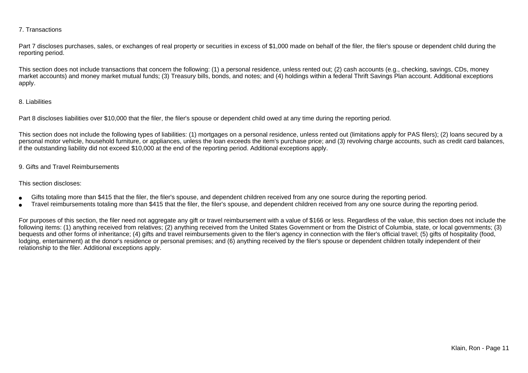#### 7. Transactions

Part 7 discloses purchases, sales, or exchanges of real property or securities in excess of \$1,000 made on behalf of the filer, the filer's spouse or dependent child during the reporting period.

This section does not include transactions that concern the following: (1) a personal residence, unless rented out; (2) cash accounts (e.g., checking, savings, CDs, money market accounts) and money market mutual funds; (3) Treasury bills, bonds, and notes; and (4) holdings within a federal Thrift Savings Plan account. Additional exceptionsapply.

#### 8. Liabilities

Part 8 discloses liabilities over \$10,000 that the filer, the filer's spouse or dependent child owed at any time during the reporting period.

This section does not include the following types of liabilities: (1) mortgages on a personal residence, unless rented out (limitations apply for PAS filers); (2) loans secured by a personal motor vehicle, household furniture, or appliances, unless the loan exceeds the item's purchase price; and (3) revolving charge accounts, such as credit card balances,if the outstanding liability did not exceed \$10,000 at the end of the reporting period. Additional exceptions apply.

#### 9. Gifts and Travel Reimbursements

#### This section discloses:

- ●Gifts totaling more than \$415 that the filer, the filer's spouse, and dependent children received from any one source during the reporting period.
- ●Travel reimbursements totaling more than \$415 that the filer, the filer's spouse, and dependent children received from any one source during the reporting period.

For purposes of this section, the filer need not aggregate any gift or travel reimbursement with a value of \$166 or less. Regardless of the value, this section does not include the following items: (1) anything received from relatives; (2) anything received from the United States Government or from the District of Columbia, state, or local governments; (3)bequests and other forms of inheritance; (4) gifts and travel reimbursements given to the filer's agency in connection with the filer's official travel; (5) gifts of hospitality (food,lodging, entertainment) at the donor's residence or personal premises; and (6) anything received by the filer's spouse or dependent children totally independent of theirrelationship to the filer. Additional exceptions apply.